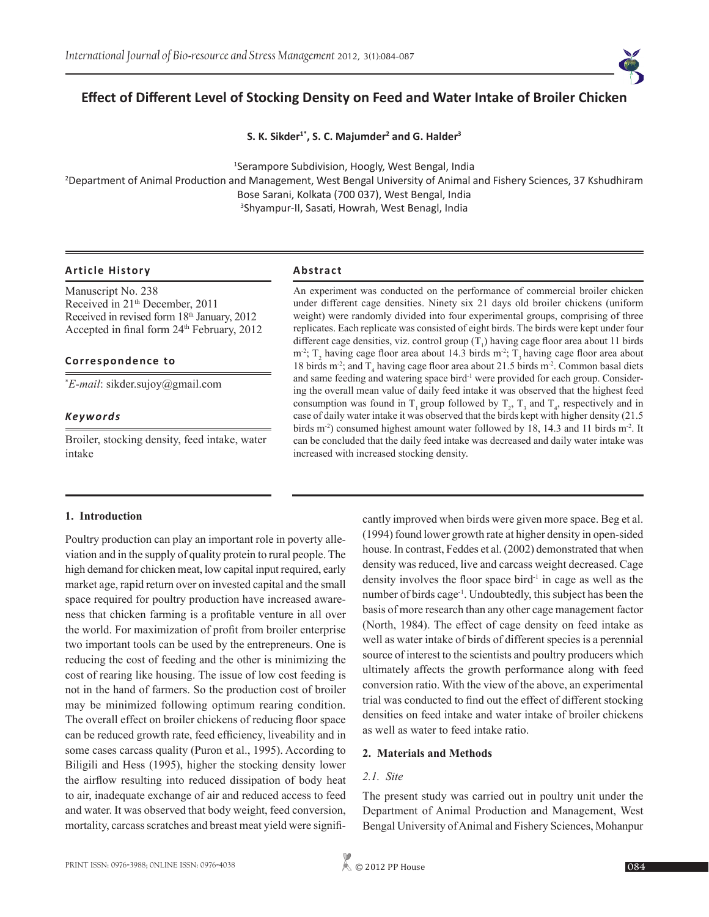

# **Effect of Different Level of Stocking Density on Feed and Water Intake of Broiler Chicken**

**S. K. Sikder1\*, S. C. Majumder<sup>2</sup> and G. Halder<sup>3</sup>**

1 Serampore Subdivision, Hoogly, West Bengal, India

2 Department of Animal Production and Management, West Bengal University of Animal and Fishery Sciences, 37 Kshudhiram Bose Sarani, Kolkata (700 037), West Bengal, India

3 Shyampur-II, Sasati, Howrah, West Benagl, India

#### **Article History Abstract**

Manuscript No. 238 Received in 21<sup>th</sup> December, 2011 Received in revised form 18<sup>th</sup> January, 2012 Accepted in final form 24<sup>th</sup> February, 2012

#### **Correspondence to**

\* *E-mail*: sikder.sujoy@gmail.com

#### *Keywords*

Broiler, stocking density, feed intake, water intake

An experiment was conducted on the performance of commercial broiler chicken under different cage densities. Ninety six 21 days old broiler chickens (uniform weight) were randomly divided into four experimental groups, comprising of three replicates. Each replicate was consisted of eight birds. The birds were kept under four different cage densities, viz. control group  $(T_1)$  having cage floor area about 11 birds m<sup>-2</sup>;  $T_2$  having cage floor area about 14.3 birds m<sup>-2</sup>;  $T_3$  having cage floor area about 18 birds m<sup>-2</sup>; and  $T_4$  having cage floor area about 21.5 birds m<sup>-2</sup>. Common basal diets and same feeding and watering space bird<sup>-1</sup> were provided for each group. Considering the overall mean value of daily feed intake it was observed that the highest feed consumption was found in  $T_1$  group followed by  $T_2$ ,  $T_3$  and  $T_4$ , respectively and in case of daily water intake it was observed that the birds kept with higher density (21.5 birds m<sup>-2</sup>) consumed highest amount water followed by 18, 14.3 and 11 birds m<sup>-2</sup>. It can be concluded that the daily feed intake was decreased and daily water intake was increased with increased stocking density.

#### **1. Introduction**

Poultry production can play an important role in poverty alleviation and in the supply of quality protein to rural people. The high demand for chicken meat, low capital input required, early market age, rapid return over on invested capital and the small space required for poultry production have increased awareness that chicken farming is a profitable venture in all over the world. For maximization of profit from broiler enterprise two important tools can be used by the entrepreneurs. One is reducing the cost of feeding and the other is minimizing the cost of rearing like housing. The issue of low cost feeding is not in the hand of farmers. So the production cost of broiler may be minimized following optimum rearing condition. The overall effect on broiler chickens of reducing floor space can be reduced growth rate, feed efficiency, liveability and in some cases carcass quality (Puron et al., 1995). According to Biligili and Hess (1995), higher the stocking density lower the airflow resulting into reduced dissipation of body heat to air, inadequate exchange of air and reduced access to feed and water. It was observed that body weight, feed conversion, mortality, carcass scratches and breast meat yield were significantly improved when birds were given more space. Beg et al. (1994) found lower growth rate at higher density in open-sided house. In contrast, Feddes et al. (2002) demonstrated that when density was reduced, live and carcass weight decreased. Cage density involves the floor space bird $<sup>1</sup>$  in cage as well as the</sup> number of birds cage-1. Undoubtedly, this subject has been the basis of more research than any other cage management factor (North, 1984). The effect of cage density on feed intake as well as water intake of birds of different species is a perennial source of interest to the scientists and poultry producers which ultimately affects the growth performance along with feed conversion ratio. With the view of the above, an experimental trial was conducted to find out the effect of different stocking densities on feed intake and water intake of broiler chickens as well as water to feed intake ratio.

#### **2. Materials and Methods**

# *2.1. Site*

The present study was carried out in poultry unit under the Department of Animal Production and Management, West Bengal University of Animal and Fishery Sciences, Mohanpur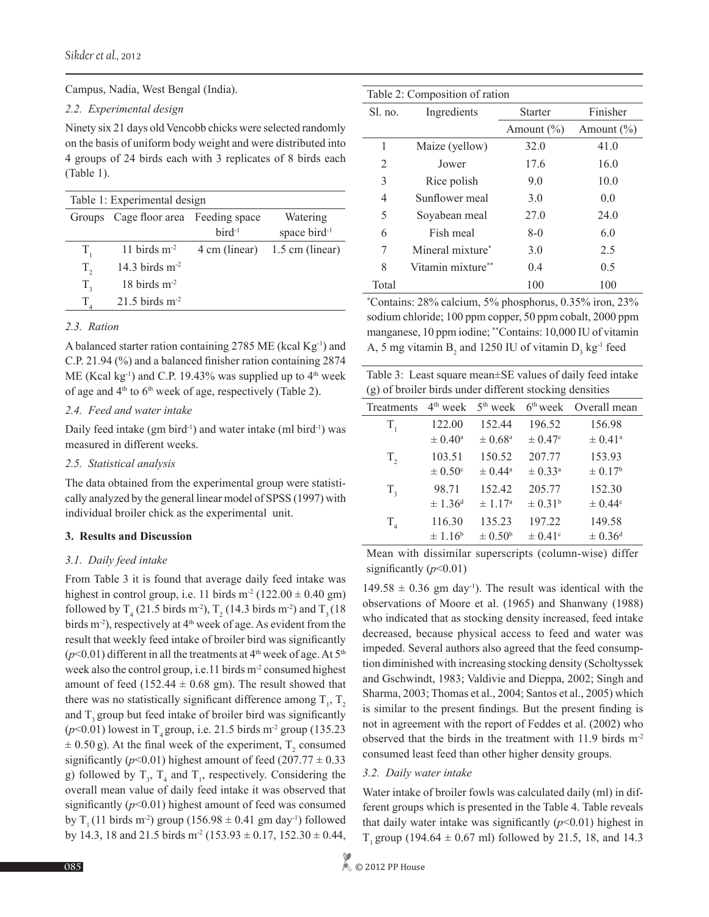Campus, Nadia, West Bengal (India).

## *2.2. Experimental design*

Ninety six 21 days old Vencobb chicks were selected randomly on the basis of uniform body weight and were distributed into 4 groups of 24 birds each with 3 replicates of 8 birds each (Table 1).

| Table 1: Experimental design |                               |                    |                                      |  |
|------------------------------|-------------------------------|--------------------|--------------------------------------|--|
| Groups                       | Cage floor area Feeding space | $\text{bird}^{-1}$ | Watering<br>space bird <sup>-1</sup> |  |
| T,                           | 11 birds $m-2$                | 4 cm (linear)      | $1.5$ cm (linear)                    |  |
| $T_{2}$                      | 14.3 birds $m-2$              |                    |                                      |  |
| $T_{\rm a}$                  | $18$ birds m <sup>-2</sup>    |                    |                                      |  |
|                              | $21.5$ birds m <sup>-2</sup>  |                    |                                      |  |

### *2.3. Ration*

A balanced starter ration containing 2785 ME (kcal  $Kg^{-1}$ ) and C.P. 21.94 (%) and a balanced finisher ration containing 2874 ME (Kcal kg<sup>-1</sup>) and C.P. 19.43% was supplied up to  $4<sup>th</sup>$  week of age and  $4<sup>th</sup>$  to  $6<sup>th</sup>$  week of age, respectively (Table 2).

# *2.4. Feed and water intake*

Daily feed intake (gm bird<sup>-1</sup>) and water intake (ml bird<sup>-1</sup>) was measured in different weeks.

# *2.5. Statistical analysis*

The data obtained from the experimental group were statistically analyzed by the general linear model of SPSS (1997) with individual broiler chick as the experimental unit.

# **3. Results and Discussion**

# *3.1. Daily feed intake*

From Table 3 it is found that average daily feed intake was highest in control group, i.e. 11 birds m<sup>-2</sup> (122.00  $\pm$  0.40 gm) followed by  $T_4$  (21.5 birds m<sup>-2</sup>),  $T_2$  (14.3 birds m<sup>-2</sup>) and  $T_3$  (18 birds m<sup>-2</sup>), respectively at 4<sup>th</sup> week of age. As evident from the result that weekly feed intake of broiler bird was significantly  $(p<0.01)$  different in all the treatments at  $4<sup>th</sup>$  week of age. At  $5<sup>th</sup>$ week also the control group, i.e. 11 birds m<sup>-2</sup> consumed highest amount of feed (152.44  $\pm$  0.68 gm). The result showed that there was no statistically significant difference among  $T_1$ ,  $T_2$ and T, group but feed intake of broiler bird was significantly  $(p<0.01)$  lowest in T<sub>4</sub> group, i.e. 21.5 birds m<sup>-2</sup> group (135.23)  $\pm$  0.50 g). At the final week of the experiment,  $T_2$  consumed significantly ( $p$ <0.01) highest amount of feed (207.77  $\pm$  0.33 g) followed by  $T_3$ ,  $T_4$  and  $T_1$ , respectively. Considering the overall mean value of daily feed intake it was observed that significantly  $(p<0.01)$  highest amount of feed was consumed by T<sub>1</sub> (11 birds m<sup>-2</sup>) group (156.98  $\pm$  0.41 gm day<sup>-1</sup>) followed by 14.3, 18 and 21.5 birds m<sup>-2</sup> (153.93  $\pm$  0.17, 152.30  $\pm$  0.44,

| Table 2: Composition of ration |                              |                |                |  |
|--------------------------------|------------------------------|----------------|----------------|--|
| Sl. no.                        | Ingredients                  | <b>Starter</b> | Finisher       |  |
|                                |                              | Amount $(\% )$ | Amount $(\% )$ |  |
| 1                              | Maize (yellow)               | 32.0           | 41.0           |  |
| 2                              | Jower                        | 17.6           | 16.0           |  |
| 3                              | Rice polish                  | 9.0            | 10.0           |  |
| 4                              | Sunflower meal               | 3.0            | 0.0            |  |
| 5                              | Soyabean meal                | 27.0           | 24.0           |  |
| 6                              | Fish meal                    | $8-0$          | 6.0            |  |
| 7                              | Mineral mixture <sup>*</sup> | 3.0            | 2.5            |  |
| 8                              | Vitamin mixture**            | 0.4            | 0.5            |  |
| Total                          |                              | 100            | 100            |  |
|                                |                              |                |                |  |

\* Contains: 28% calcium, 5% phosphorus, 0.35% iron, 23% sodium chloride; 100 ppm copper, 50 ppm cobalt, 2000 ppm manganese, 10 ppm iodine; \*\*Contains: 10,000 IU of vitamin A, 5 mg vitamin  $B_2$  and 1250 IU of vitamin  $D_3$  kg<sup>-1</sup> feed

| Table 3: Least square mean±SE values of daily feed intake |
|-----------------------------------------------------------|
| (g) of broiler birds under different stocking densities   |

| Treatments | $4th$ week         | $5th$ week         | $6th$ week              | Overall mean       |
|------------|--------------------|--------------------|-------------------------|--------------------|
| $T_{1}$    | 122.00             | 152.44             | 196.52                  | 156.98             |
|            | $\pm 0.40^{\circ}$ | $\pm 0.68^{\rm a}$ | $\pm 0.47$ °            | $\pm 0.41^{\circ}$ |
| $T_{2}$    | 103.51             | 150.52             | 207.77                  | 153.93             |
|            | $\pm 0.50^{\circ}$ | $\pm 0.44^{\circ}$ | $\pm 0.33^{\rm a}$      | $\pm 0.17^{\rm b}$ |
| $T_{3}$    | 98.71              | 152.42             | 205.77                  | 152.30             |
|            | $\pm 1.36^{\rm d}$ | $\pm 1.17^{\circ}$ | $\pm 0.31^{\rm b}$      | $\pm 0.44^{\circ}$ |
| $T_{4}$    | 116.30             | 135.23             | 197.22                  | 149.58             |
|            | $\pm 1.16^b$       | $\pm 0.50^{\rm b}$ | $\pm$ 0.41 <sup>c</sup> | $\pm 0.36^{\rm d}$ |

Mean with dissimilar superscripts (column-wise) differ significantly ( $p$ <0.01)

 $149.58 \pm 0.36$  gm day<sup>-1</sup>). The result was identical with the observations of Moore et al. (1965) and Shanwany (1988) who indicated that as stocking density increased, feed intake decreased, because physical access to feed and water was impeded. Several authors also agreed that the feed consumption diminished with increasing stocking density (Scholtyssek and Gschwindt, 1983; Valdivie and Dieppa, 2002; Singh and Sharma, 2003; Thomas et al., 2004; Santos et al., 2005) which is similar to the present findings. But the present finding is not in agreement with the report of Feddes et al. (2002) who observed that the birds in the treatment with 11.9 birds m-2 consumed least feed than other higher density groups.

# *3.2. Daily water intake*

Water intake of broiler fowls was calculated daily (ml) in different groups which is presented in the Table 4. Table reveals that daily water intake was significantly  $(p<0.01)$  highest in T<sub>1</sub> group (194.64  $\pm$  0.67 ml) followed by 21.5, 18, and 14.3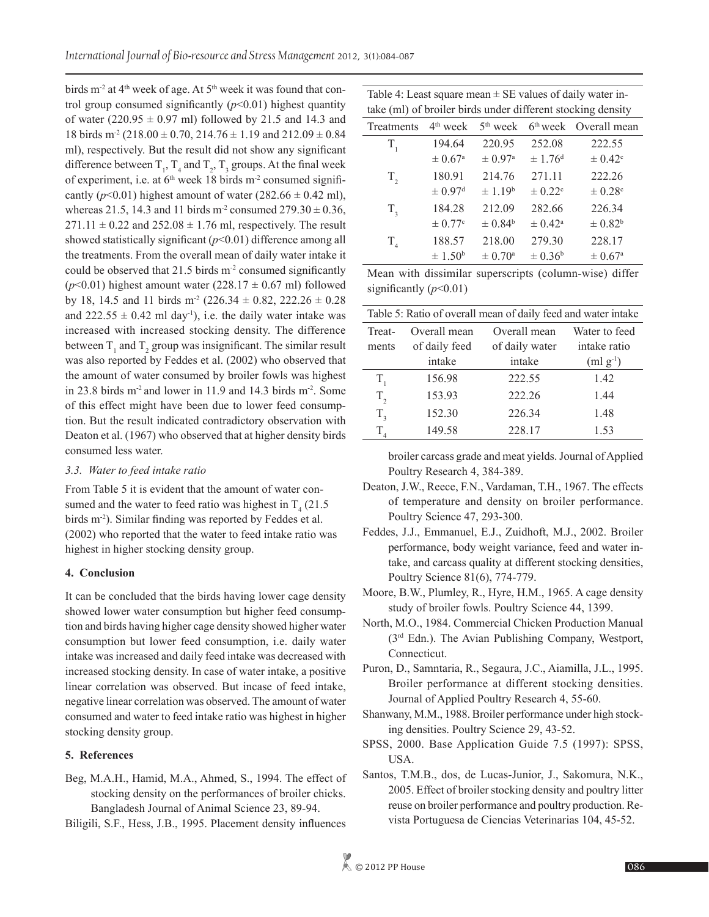birds  $m<sup>2</sup>$  at 4<sup>th</sup> week of age. At 5<sup>th</sup> week it was found that control group consumed significantly (*p*<0.01) highest quantity of water  $(220.95 \pm 0.97 \text{ ml})$  followed by 21.5 and 14.3 and 18 birds m<sup>-2</sup> (218.00  $\pm$  0.70, 214.76  $\pm$  1.19 and 212.09  $\pm$  0.84 ml), respectively. But the result did not show any significant difference between  $T_1$ ,  $T_4$  and  $T_2$ ,  $T_3$  groups. At the final week of experiment, i.e. at 6<sup>th</sup> week 18 birds m<sup>-2</sup> consumed significantly ( $p<0.01$ ) highest amount of water ( $282.66 \pm 0.42$  ml), whereas 21.5, 14.3 and 11 birds m<sup>-2</sup> consumed  $279.30 \pm 0.36$ ,  $271.11 \pm 0.22$  and  $252.08 \pm 1.76$  ml, respectively. The result showed statistically significant ( $p$ <0.01) difference among all the treatments. From the overall mean of daily water intake it could be observed that  $21.5$  birds  $m<sup>2</sup>$  consumed significantly ( $p$ <0.01) highest amount water (228.17  $\pm$  0.67 ml) followed by 18, 14.5 and 11 birds m<sup>-2</sup> (226.34  $\pm$  0.82, 222.26  $\pm$  0.28 and  $222.55 \pm 0.42$  ml day<sup>-1</sup>), i.e. the daily water intake was increased with increased stocking density. The difference between  $T_1$  and  $T_2$  group was insignificant. The similar result was also reported by Feddes et al. (2002) who observed that the amount of water consumed by broiler fowls was highest in 23.8 birds  $m<sup>2</sup>$  and lower in 11.9 and 14.3 birds  $m<sup>2</sup>$ . Some of this effect might have been due to lower feed consumption. But the result indicated contradictory observation with Deaton et al. (1967) who observed that at higher density birds consumed less water.

# *3.3. Water to feed intake ratio*

From Table 5 it is evident that the amount of water consumed and the water to feed ratio was highest in  $T_4$  (21.5) birds m<sup>-2</sup>). Similar finding was reported by Feddes et al. (2002) who reported that the water to feed intake ratio was highest in higher stocking density group.

# **4. Conclusion**

It can be concluded that the birds having lower cage density showed lower water consumption but higher feed consumption and birds having higher cage density showed higher water consumption but lower feed consumption, i.e. daily water intake was increased and daily feed intake was decreased with increased stocking density. In case of water intake, a positive linear correlation was observed. But incase of feed intake, negative linear correlation was observed. The amount of water consumed and water to feed intake ratio was highest in higher stocking density group.

# **5. References**

Beg, M.A.H., Hamid, M.A., Ahmed, S., 1994. The effect of stocking density on the performances of broiler chicks. Bangladesh Journal of Animal Science 23, 89-94.

Biligili, S.F., Hess, J.B., 1995. Placement density influences

| Table 4: Least square mean $\pm$ SE values of daily water in- |
|---------------------------------------------------------------|
| take (ml) of broiler birds under different stocking density   |

| tune (http://www.ch.ub/under/unferent/stocking/uensity |                         |                     |                         |                                   |
|--------------------------------------------------------|-------------------------|---------------------|-------------------------|-----------------------------------|
| Treatments                                             | 4 <sup>th</sup> week    | $5th$ week          |                         | 6 <sup>th</sup> week Overall mean |
| $T_{1}$                                                | 194.64                  | 220.95              | 252.08                  | 222.55                            |
|                                                        | $\pm 0.67$ <sup>a</sup> | ± 0.97 <sup>a</sup> | $\pm 1.76$ <sup>d</sup> | $\pm 0.42^{\circ}$                |
| $T_{2}$                                                | 180.91                  | 214.76              | 271.11                  | 222.26                            |
|                                                        | $\pm 0.97$ <sup>d</sup> | ± 1.19 <sup>b</sup> | $\pm 0.22$ <sup>c</sup> | $\pm 0.28$ <sup>c</sup>           |
| $T_{3}$                                                | 184.28                  | 212.09              | 282.66                  | 226.34                            |
|                                                        | $\pm 0.77$ <sup>c</sup> | $\pm 0.84^{\rm b}$  | $\pm 0.42^{\rm a}$      | $\pm 0.82^b$                      |
| $T_{4}$                                                | 188.57                  | 218.00              | 279.30                  | 228.17                            |
|                                                        | $\pm 1.50^{\rm b}$      | $\pm 0.70^{\circ}$  | $\pm 0.36^{\rm b}$      | $\pm 0.67^{\rm a}$                |

Mean with dissimilar superscripts (column-wise) differ significantly  $(p<0.01)$ 

| Table 5: Ratio of overall mean of daily feed and water intake |               |                |               |  |
|---------------------------------------------------------------|---------------|----------------|---------------|--|
| Treat-                                                        | Overall mean  | Overall mean   | Water to feed |  |
| ments                                                         | of daily feed | of daily water | intake ratio  |  |
|                                                               | intake        | intake         | $(ml g^{-1})$ |  |
| $T_{1}$                                                       | 156.98        | 222.55         | 1.42          |  |
| $T_{2}$                                                       | 153.93        | 222.26         | 1.44          |  |
| $T_{3}$                                                       | 152.30        | 226.34         | 1.48          |  |
| T                                                             | 149.58        | 228.17         | 1.53          |  |

broiler carcass grade and meat yields. Journal of Applied Poultry Research 4, 384-389.

- Deaton, J.W., Reece, F.N., Vardaman, T.H., 1967. The effects of temperature and density on broiler performance. Poultry Science 47, 293-300.
- Feddes, J.J., Emmanuel, E.J., Zuidhoft, M.J., 2002. Broiler performance, body weight variance, feed and water intake, and carcass quality at different stocking densities, Poultry Science 81(6), 774-779.
- Moore, B.W., Plumley, R., Hyre, H.M., 1965. A cage density study of broiler fowls. Poultry Science 44, 1399.
- North, M.O., 1984. Commercial Chicken Production Manual (3rd Edn.). The Avian Publishing Company, Westport, Connecticut.
- Puron, D., Samntaria, R., Segaura, J.C., Aiamilla, J.L., 1995. Broiler performance at different stocking densities. Journal of Applied Poultry Research 4, 55-60.
- Shanwany, M.M., 1988. Broiler performance under high stocking densities. Poultry Science 29, 43-52.
- SPSS, 2000. Base Application Guide 7.5 (1997): SPSS, USA.
- Santos, T.M.B., dos, de Lucas-Junior, J., Sakomura, N.K., 2005. Effect of broiler stocking density and poultry litter reuse on broiler performance and poultry production. Revista Portuguesa de Ciencias Veterinarias 104, 45-52.